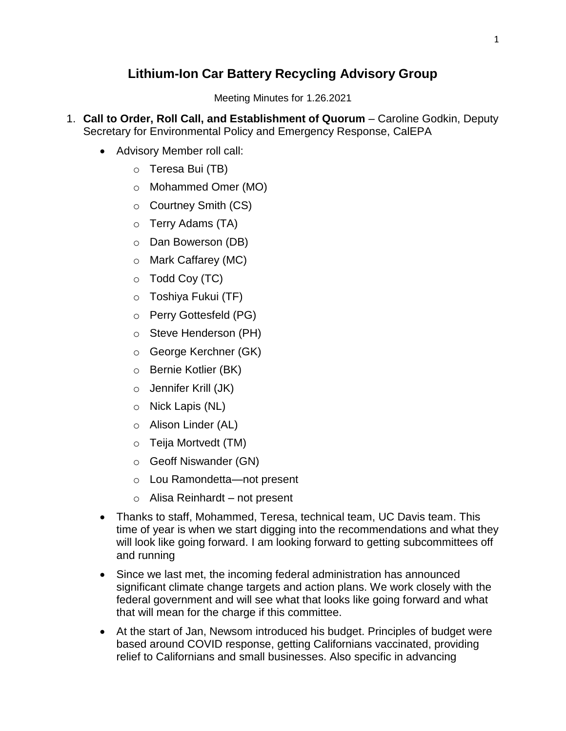# **Lithium-Ion Car Battery Recycling Advisory Group**

Meeting Minutes for 1.26.2021

- 1. **Call to Order, Roll Call, and Establishment of Quorum** Caroline Godkin, Deputy Secretary for Environmental Policy and Emergency Response, CalEPA
	- Advisory Member roll call:
		- o Teresa Bui (TB)
		- o Mohammed Omer (MO)
		- o Courtney Smith (CS)
		- o Terry Adams (TA)
		- o Dan Bowerson (DB)
		- o Mark Caffarey (MC)
		- $\circ$  Todd Coy (TC)
		- o Toshiya Fukui (TF)
		- o Perry Gottesfeld (PG)
		- o Steve Henderson (PH)
		- o George Kerchner (GK)
		- o Bernie Kotlier (BK)
		- o Jennifer Krill (JK)
		- o Nick Lapis (NL)
		- o Alison Linder (AL)
		- o Teija Mortvedt (TM)
		- o Geoff Niswander (GN)
		- o Lou Ramondetta—not present
		- $\circ$  Alisa Reinhardt not present
	- Thanks to staff, Mohammed, Teresa, technical team, UC Davis team. This time of year is when we start digging into the recommendations and what they will look like going forward. I am looking forward to getting subcommittees off and running
	- Since we last met, the incoming federal administration has announced significant climate change targets and action plans. We work closely with the federal government and will see what that looks like going forward and what that will mean for the charge if this committee.
	- At the start of Jan, Newsom introduced his budget. Principles of budget were based around COVID response, getting Californians vaccinated, providing relief to Californians and small businesses. Also specific in advancing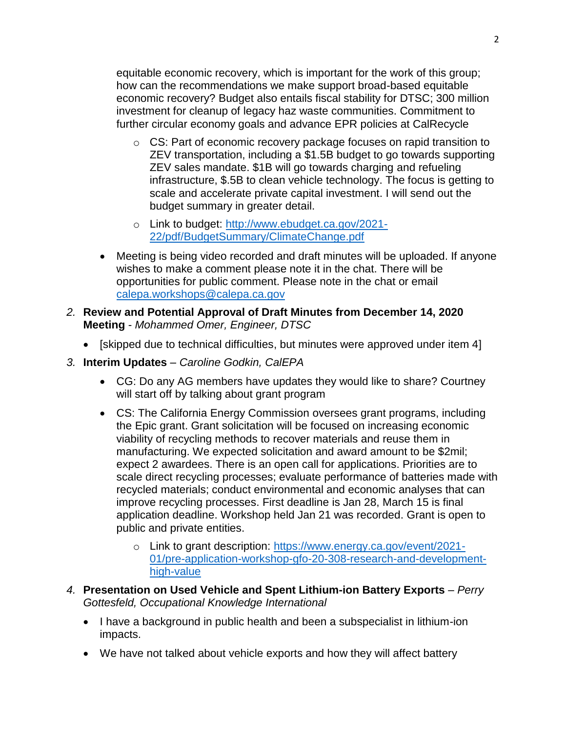equitable economic recovery, which is important for the work of this group; how can the recommendations we make support broad-based equitable economic recovery? Budget also entails fiscal stability for DTSC; 300 million investment for cleanup of legacy haz waste communities. Commitment to further circular economy goals and advance EPR policies at CalRecycle

- o CS: Part of economic recovery package focuses on rapid transition to ZEV transportation, including a \$1.5B budget to go towards supporting ZEV sales mandate. \$1B will go towards charging and refueling infrastructure, \$.5B to clean vehicle technology. The focus is getting to scale and accelerate private capital investment. I will send out the budget summary in greater detail.
- o Link to budget: [http://www.ebudget.ca.gov/2021-](http://www.ebudget.ca.gov/2021-22/pdf/BudgetSummary/ClimateChange.pdf) [22/pdf/BudgetSummary/ClimateChange.pdf](http://www.ebudget.ca.gov/2021-22/pdf/BudgetSummary/ClimateChange.pdf)
- Meeting is being video recorded and draft minutes will be uploaded. If anyone wishes to make a comment please note it in the chat. There will be opportunities for public comment. Please note in the chat or email [calepa.workshops@calepa.ca.gov](mailto:calepa.workshops@calepa.ca.gov)
- *2.* **Review and Potential Approval of Draft Minutes from December 14, 2020 Meeting** - *Mohammed Omer, Engineer, DTSC*
	- [skipped due to technical difficulties, but minutes were approved under item 4]
- *3.* **Interim Updates** *Caroline Godkin, CalEPA*
	- CG: Do any AG members have updates they would like to share? Courtney will start off by talking about grant program
	- CS: The California Energy Commission oversees grant programs, including the Epic grant. Grant solicitation will be focused on increasing economic viability of recycling methods to recover materials and reuse them in manufacturing. We expected solicitation and award amount to be \$2mil; expect 2 awardees. There is an open call for applications. Priorities are to scale direct recycling processes; evaluate performance of batteries made with recycled materials; conduct environmental and economic analyses that can improve recycling processes. First deadline is Jan 28, March 15 is final application deadline. Workshop held Jan 21 was recorded. Grant is open to public and private entities.
		- o Link to grant description: [https://www.energy.ca.gov/event/2021-](https://www.energy.ca.gov/event/2021-01/pre-application-workshop-gfo-20-308-research-and-development-high-value) [01/pre-application-workshop-gfo-20-308-research-and-development](https://www.energy.ca.gov/event/2021-01/pre-application-workshop-gfo-20-308-research-and-development-high-value)[high-value](https://www.energy.ca.gov/event/2021-01/pre-application-workshop-gfo-20-308-research-and-development-high-value)
- *4.* **Presentation on Used Vehicle and Spent Lithium-ion Battery Exports** *– Perry Gottesfeld, Occupational Knowledge International*
	- I have a background in public health and been a subspecialist in lithium-ion impacts.
	- We have not talked about vehicle exports and how they will affect battery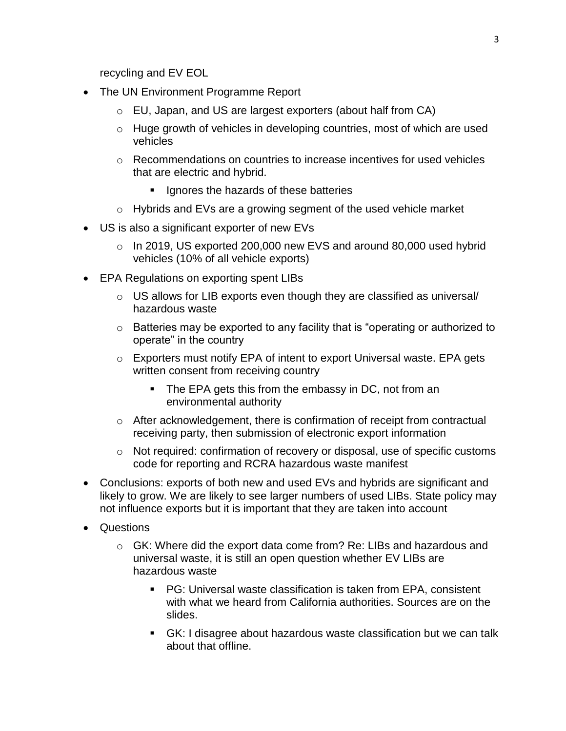recycling and EV EOL

- The UN Environment Programme Report
	- o EU, Japan, and US are largest exporters (about half from CA)
	- o Huge growth of vehicles in developing countries, most of which are used vehicles
	- o Recommendations on countries to increase incentives for used vehicles that are electric and hybrid.
		- **If** Ignores the hazards of these batteries
	- o Hybrids and EVs are a growing segment of the used vehicle market
- US is also a significant exporter of new EVs
	- $\circ$  In 2019, US exported 200,000 new EVS and around 80,000 used hybrid vehicles (10% of all vehicle exports)
- EPA Regulations on exporting spent LIBs
	- $\circ$  US allows for LIB exports even though they are classified as universal/ hazardous waste
	- o Batteries may be exported to any facility that is "operating or authorized to operate" in the country
	- o Exporters must notify EPA of intent to export Universal waste. EPA gets written consent from receiving country
		- **The EPA gets this from the embassy in DC, not from an** environmental authority
	- $\circ$  After acknowledgement, there is confirmation of receipt from contractual receiving party, then submission of electronic export information
	- o Not required: confirmation of recovery or disposal, use of specific customs code for reporting and RCRA hazardous waste manifest
- Conclusions: exports of both new and used EVs and hybrids are significant and likely to grow. We are likely to see larger numbers of used LIBs. State policy may not influence exports but it is important that they are taken into account
- Questions
	- $\circ$  GK: Where did the export data come from? Re: LIBs and hazardous and universal waste, it is still an open question whether EV LIBs are hazardous waste
		- PG: Universal waste classification is taken from EPA, consistent with what we heard from California authorities. Sources are on the slides.
		- GK: I disagree about hazardous waste classification but we can talk about that offline.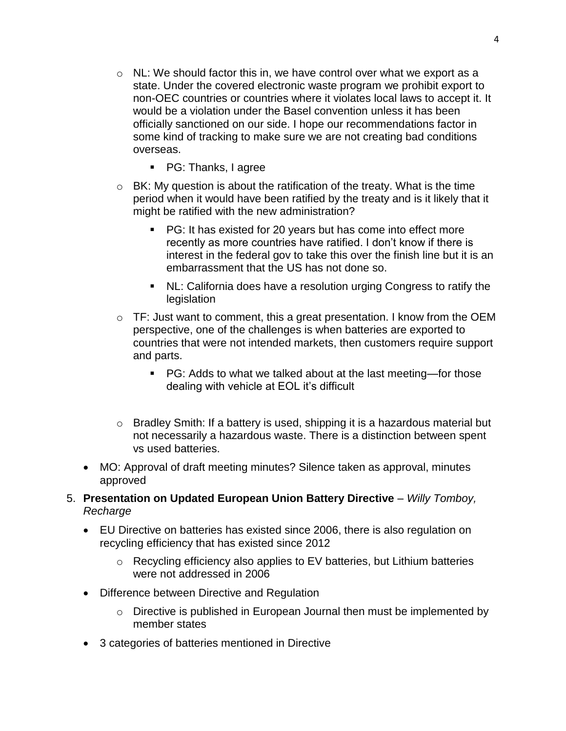- $\circ$  NL: We should factor this in, we have control over what we export as a state. Under the covered electronic waste program we prohibit export to non-OEC countries or countries where it violates local laws to accept it. It would be a violation under the Basel convention unless it has been officially sanctioned on our side. I hope our recommendations factor in some kind of tracking to make sure we are not creating bad conditions overseas.
	- PG: Thanks, I agree
- $\circ$  BK: My question is about the ratification of the treaty. What is the time period when it would have been ratified by the treaty and is it likely that it might be ratified with the new administration?
	- PG: It has existed for 20 years but has come into effect more recently as more countries have ratified. I don't know if there is interest in the federal gov to take this over the finish line but it is an embarrassment that the US has not done so.
	- NL: California does have a resolution urging Congress to ratify the legislation
- $\circ$  TF: Just want to comment, this a great presentation. I know from the OEM perspective, one of the challenges is when batteries are exported to countries that were not intended markets, then customers require support and parts.
	- PG: Adds to what we talked about at the last meeting—for those dealing with vehicle at EOL it's difficult
- o Bradley Smith: If a battery is used, shipping it is a hazardous material but not necessarily a hazardous waste. There is a distinction between spent vs used batteries.
- MO: Approval of draft meeting minutes? Silence taken as approval, minutes approved
- 5. **Presentation on Updated European Union Battery Directive**  *Willy Tomboy, Recharge*
	- EU Directive on batteries has existed since 2006, there is also regulation on recycling efficiency that has existed since 2012
		- o Recycling efficiency also applies to EV batteries, but Lithium batteries were not addressed in 2006
	- Difference between Directive and Regulation
		- o Directive is published in European Journal then must be implemented by member states
	- 3 categories of batteries mentioned in Directive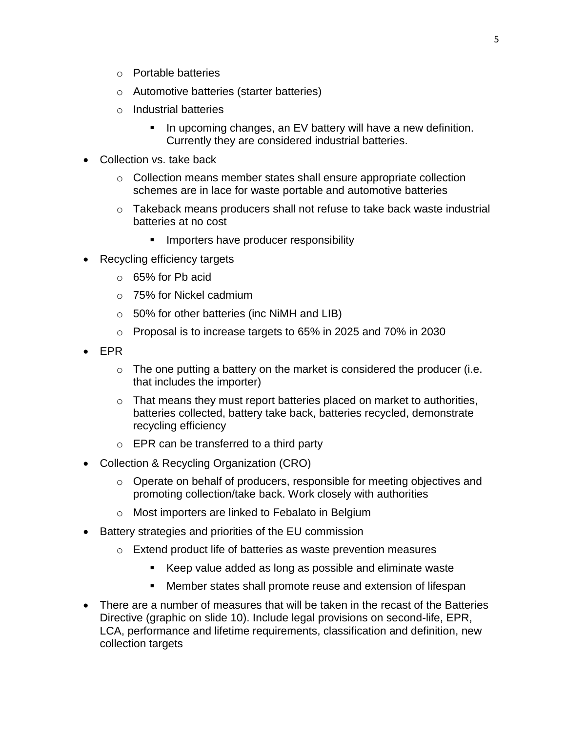- o Portable batteries
- o Automotive batteries (starter batteries)
- o Industrial batteries
	- **IF** In upcoming changes, an EV battery will have a new definition. Currently they are considered industrial batteries.
- Collection vs. take back
	- o Collection means member states shall ensure appropriate collection schemes are in lace for waste portable and automotive batteries
	- $\circ$  Takeback means producers shall not refuse to take back waste industrial batteries at no cost
		- **IMPORTER 1999** Importers have producer responsibility
- Recycling efficiency targets
	- o 65% for Pb acid
	- o 75% for Nickel cadmium
	- $\circ$  50% for other batteries (inc NiMH and LIB)
	- o Proposal is to increase targets to 65% in 2025 and 70% in 2030
- EPR
	- $\circ$  The one putting a battery on the market is considered the producer (i.e. that includes the importer)
	- o That means they must report batteries placed on market to authorities, batteries collected, battery take back, batteries recycled, demonstrate recycling efficiency
	- o EPR can be transferred to a third party
- Collection & Recycling Organization (CRO)
	- $\circ$  Operate on behalf of producers, responsible for meeting objectives and promoting collection/take back. Work closely with authorities
	- o Most importers are linked to Febalato in Belgium
- Battery strategies and priorities of the EU commission
	- o Extend product life of batteries as waste prevention measures
		- Keep value added as long as possible and eliminate waste
		- Member states shall promote reuse and extension of lifespan
- There are a number of measures that will be taken in the recast of the Batteries Directive (graphic on slide 10). Include legal provisions on second-life, EPR, LCA, performance and lifetime requirements, classification and definition, new collection targets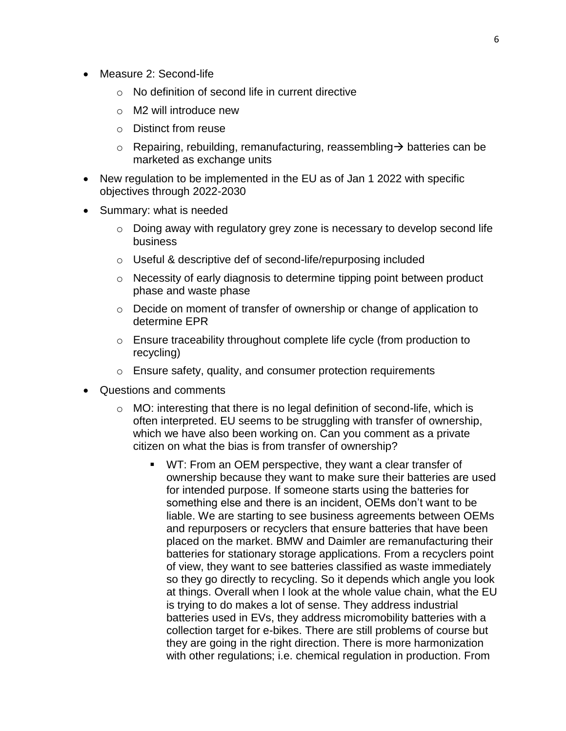- Measure 2: Second-life
	- o No definition of second life in current directive
	- o M2 will introduce new
	- o Distinct from reuse
	- $\circ$  Repairing, rebuilding, remanufacturing, reassembling  $\rightarrow$  batteries can be marketed as exchange units
- New regulation to be implemented in the EU as of Jan 1 2022 with specific objectives through 2022-2030
- Summary: what is needed
	- o Doing away with regulatory grey zone is necessary to develop second life business
	- o Useful & descriptive def of second-life/repurposing included
	- o Necessity of early diagnosis to determine tipping point between product phase and waste phase
	- o Decide on moment of transfer of ownership or change of application to determine EPR
	- o Ensure traceability throughout complete life cycle (from production to recycling)
	- o Ensure safety, quality, and consumer protection requirements
- Questions and comments
	- $\circ$  MO: interesting that there is no legal definition of second-life, which is often interpreted. EU seems to be struggling with transfer of ownership, which we have also been working on. Can you comment as a private citizen on what the bias is from transfer of ownership?
		- WT: From an OEM perspective, they want a clear transfer of ownership because they want to make sure their batteries are used for intended purpose. If someone starts using the batteries for something else and there is an incident, OEMs don't want to be liable. We are starting to see business agreements between OEMs and repurposers or recyclers that ensure batteries that have been placed on the market. BMW and Daimler are remanufacturing their batteries for stationary storage applications. From a recyclers point of view, they want to see batteries classified as waste immediately so they go directly to recycling. So it depends which angle you look at things. Overall when I look at the whole value chain, what the EU is trying to do makes a lot of sense. They address industrial batteries used in EVs, they address micromobility batteries with a collection target for e-bikes. There are still problems of course but they are going in the right direction. There is more harmonization with other regulations; i.e. chemical regulation in production. From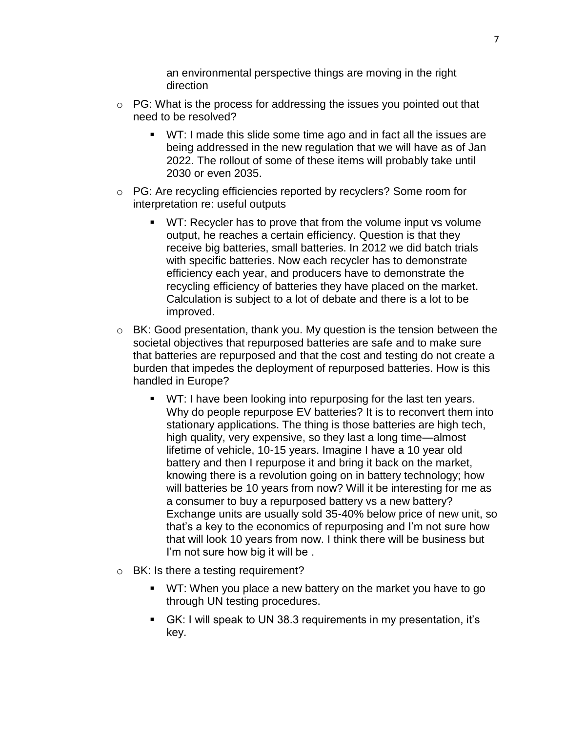an environmental perspective things are moving in the right direction

- $\circ$  PG: What is the process for addressing the issues you pointed out that need to be resolved?
	- WT: I made this slide some time ago and in fact all the issues are being addressed in the new regulation that we will have as of Jan 2022. The rollout of some of these items will probably take until 2030 or even 2035.
- o PG: Are recycling efficiencies reported by recyclers? Some room for interpretation re: useful outputs
	- **WT:** Recycler has to prove that from the volume input vs volume output, he reaches a certain efficiency. Question is that they receive big batteries, small batteries. In 2012 we did batch trials with specific batteries. Now each recycler has to demonstrate efficiency each year, and producers have to demonstrate the recycling efficiency of batteries they have placed on the market. Calculation is subject to a lot of debate and there is a lot to be improved.
- o BK: Good presentation, thank you. My question is the tension between the societal objectives that repurposed batteries are safe and to make sure that batteries are repurposed and that the cost and testing do not create a burden that impedes the deployment of repurposed batteries. How is this handled in Europe?
	- **WT:** I have been looking into repurposing for the last ten years. Why do people repurpose EV batteries? It is to reconvert them into stationary applications. The thing is those batteries are high tech, high quality, very expensive, so they last a long time—almost lifetime of vehicle, 10-15 years. Imagine I have a 10 year old battery and then I repurpose it and bring it back on the market, knowing there is a revolution going on in battery technology; how will batteries be 10 years from now? Will it be interesting for me as a consumer to buy a repurposed battery vs a new battery? Exchange units are usually sold 35-40% below price of new unit, so that's a key to the economics of repurposing and I'm not sure how that will look 10 years from now. I think there will be business but I'm not sure how big it will be .
- o BK: Is there a testing requirement?
	- **WT:** When you place a new battery on the market you have to go through UN testing procedures.
	- GK: I will speak to UN 38.3 requirements in my presentation, it's key.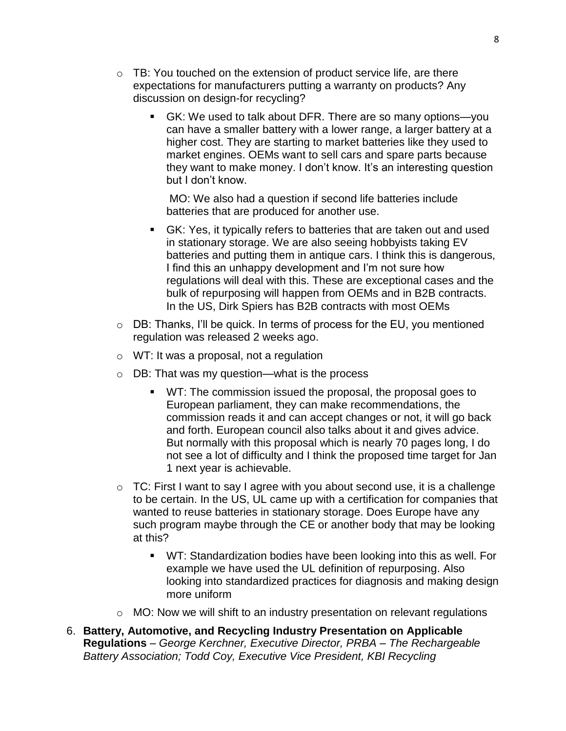- $\circ$  TB: You touched on the extension of product service life, are there expectations for manufacturers putting a warranty on products? Any discussion on design-for recycling?
	- GK: We used to talk about DFR. There are so many options—you can have a smaller battery with a lower range, a larger battery at a higher cost. They are starting to market batteries like they used to market engines. OEMs want to sell cars and spare parts because they want to make money. I don't know. It's an interesting question but I don't know.

MO: We also had a question if second life batteries include batteries that are produced for another use.

- GK: Yes, it typically refers to batteries that are taken out and used in stationary storage. We are also seeing hobbyists taking EV batteries and putting them in antique cars. I think this is dangerous, I find this an unhappy development and I'm not sure how regulations will deal with this. These are exceptional cases and the bulk of repurposing will happen from OEMs and in B2B contracts. In the US, Dirk Spiers has B2B contracts with most OEMs
- o DB: Thanks, I'll be quick. In terms of process for the EU, you mentioned regulation was released 2 weeks ago.
- o WT: It was a proposal, not a regulation
- o DB: That was my question—what is the process
	- WT: The commission issued the proposal, the proposal goes to European parliament, they can make recommendations, the commission reads it and can accept changes or not, it will go back and forth. European council also talks about it and gives advice. But normally with this proposal which is nearly 70 pages long, I do not see a lot of difficulty and I think the proposed time target for Jan 1 next year is achievable.
- $\circ$  TC: First I want to say I agree with you about second use, it is a challenge to be certain. In the US, UL came up with a certification for companies that wanted to reuse batteries in stationary storage. Does Europe have any such program maybe through the CE or another body that may be looking at this?
	- WT: Standardization bodies have been looking into this as well. For example we have used the UL definition of repurposing. Also looking into standardized practices for diagnosis and making design more uniform
- o MO: Now we will shift to an industry presentation on relevant regulations
- 6. **Battery, Automotive, and Recycling Industry Presentation on Applicable Regulations** *– George Kerchner, Executive Director, PRBA – The Rechargeable Battery Association; Todd Coy, Executive Vice President, KBI Recycling*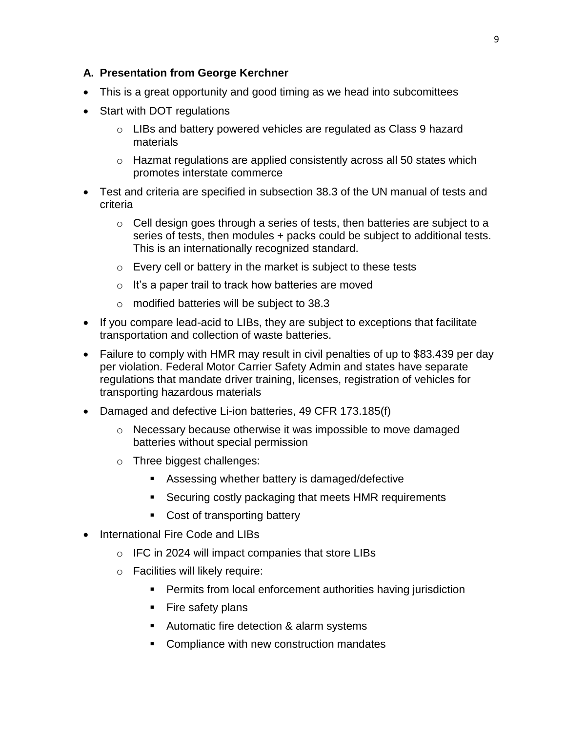#### **A. Presentation from George Kerchner**

- This is a great opportunity and good timing as we head into subcomittees
- Start with DOT regulations
	- $\circ$  LIBs and battery powered vehicles are regulated as Class 9 hazard materials
	- $\circ$  Hazmat regulations are applied consistently across all 50 states which promotes interstate commerce
- Test and criteria are specified in subsection 38.3 of the UN manual of tests and criteria
	- $\circ$  Cell design goes through a series of tests, then batteries are subject to a series of tests, then modules + packs could be subject to additional tests. This is an internationally recognized standard.
	- o Every cell or battery in the market is subject to these tests
	- o It's a paper trail to track how batteries are moved
	- o modified batteries will be subject to 38.3
- If you compare lead-acid to LIBs, they are subject to exceptions that facilitate transportation and collection of waste batteries.
- Failure to comply with HMR may result in civil penalties of up to \$83.439 per day per violation. Federal Motor Carrier Safety Admin and states have separate regulations that mandate driver training, licenses, registration of vehicles for transporting hazardous materials
- Damaged and defective Li-ion batteries, 49 CFR 173.185(f)
	- o Necessary because otherwise it was impossible to move damaged batteries without special permission
	- o Three biggest challenges:
		- Assessing whether battery is damaged/defective
		- Securing costly packaging that meets HMR requirements
		- Cost of transporting battery
- International Fire Code and LIBs
	- o IFC in 2024 will impact companies that store LIBs
	- o Facilities will likely require:
		- **Permits from local enforcement authorities having jurisdiction**
		- Fire safety plans
		- Automatic fire detection & alarm systems
		- **Compliance with new construction mandates**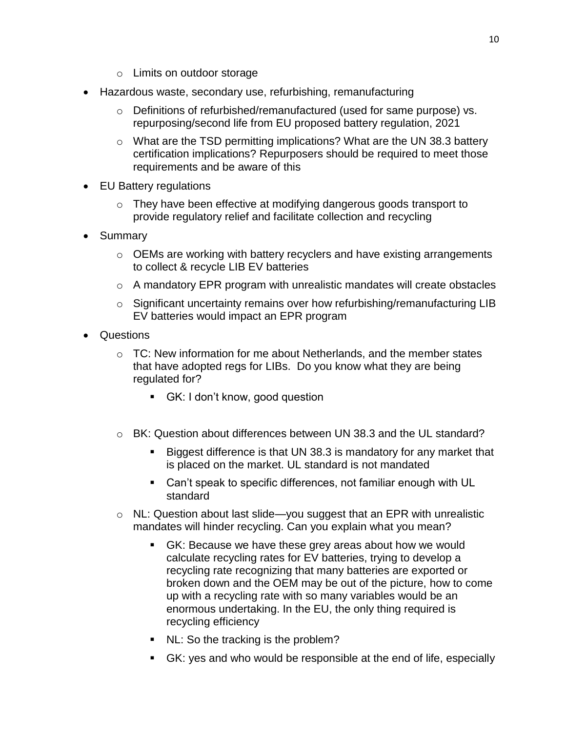- o Limits on outdoor storage
- Hazardous waste, secondary use, refurbishing, remanufacturing
	- o Definitions of refurbished/remanufactured (used for same purpose) vs. repurposing/second life from EU proposed battery regulation, 2021
	- o What are the TSD permitting implications? What are the UN 38.3 battery certification implications? Repurposers should be required to meet those requirements and be aware of this
- EU Battery regulations
	- o They have been effective at modifying dangerous goods transport to provide regulatory relief and facilitate collection and recycling
- Summary
	- o OEMs are working with battery recyclers and have existing arrangements to collect & recycle LIB EV batteries
	- $\circ$  A mandatory EPR program with unrealistic mandates will create obstacles
	- o Significant uncertainty remains over how refurbishing/remanufacturing LIB EV batteries would impact an EPR program
- Questions
	- $\circ$  TC: New information for me about Netherlands, and the member states that have adopted regs for LIBs. Do you know what they are being regulated for?
		- GK: I don't know, good question
	- $\circ$  BK: Question about differences between UN 38.3 and the UL standard?
		- Biggest difference is that UN 38.3 is mandatory for any market that is placed on the market. UL standard is not mandated
		- Can't speak to specific differences, not familiar enough with UL standard
	- o NL: Question about last slide—you suggest that an EPR with unrealistic mandates will hinder recycling. Can you explain what you mean?
		- GK: Because we have these grey areas about how we would calculate recycling rates for EV batteries, trying to develop a recycling rate recognizing that many batteries are exported or broken down and the OEM may be out of the picture, how to come up with a recycling rate with so many variables would be an enormous undertaking. In the EU, the only thing required is recycling efficiency
		- NL: So the tracking is the problem?
		- GK: yes and who would be responsible at the end of life, especially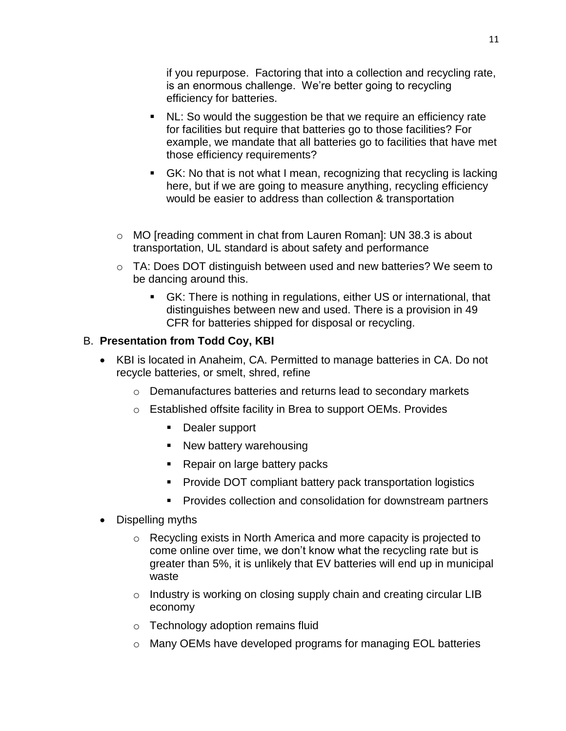if you repurpose. Factoring that into a collection and recycling rate, is an enormous challenge. We're better going to recycling efficiency for batteries.

- NL: So would the suggestion be that we require an efficiency rate for facilities but require that batteries go to those facilities? For example, we mandate that all batteries go to facilities that have met those efficiency requirements?
- GK: No that is not what I mean, recognizing that recycling is lacking here, but if we are going to measure anything, recycling efficiency would be easier to address than collection & transportation
- $\circ$  MO [reading comment in chat from Lauren Roman]: UN 38.3 is about transportation, UL standard is about safety and performance
- $\circ$  TA: Does DOT distinguish between used and new batteries? We seem to be dancing around this.
	- GK: There is nothing in regulations, either US or international, that distinguishes between new and used. There is a provision in 49 CFR for batteries shipped for disposal or recycling.

#### B. **Presentation from Todd Coy, KBI**

- KBI is located in Anaheim, CA. Permitted to manage batteries in CA. Do not recycle batteries, or smelt, shred, refine
	- o Demanufactures batteries and returns lead to secondary markets
	- o Established offsite facility in Brea to support OEMs. Provides
		- **Dealer support**
		- New battery warehousing
		- Repair on large battery packs
		- **Provide DOT compliant battery pack transportation logistics**
		- **Provides collection and consolidation for downstream partners**
- Dispelling myths
	- o Recycling exists in North America and more capacity is projected to come online over time, we don't know what the recycling rate but is greater than 5%, it is unlikely that EV batteries will end up in municipal waste
	- $\circ$  Industry is working on closing supply chain and creating circular LIB economy
	- o Technology adoption remains fluid
	- o Many OEMs have developed programs for managing EOL batteries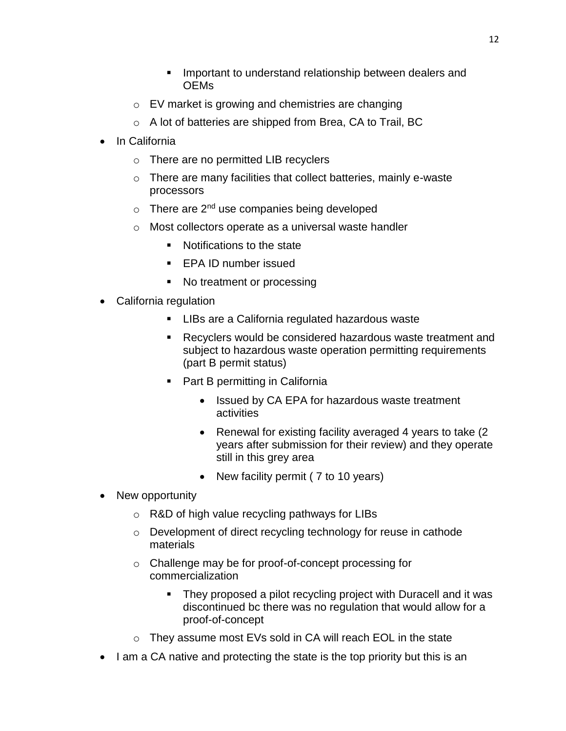- Important to understand relationship between dealers and OEMs
- o EV market is growing and chemistries are changing
- o A lot of batteries are shipped from Brea, CA to Trail, BC
- In California
	- o There are no permitted LIB recyclers
	- o There are many facilities that collect batteries, mainly e-waste processors
	- $\circ$  There are 2<sup>nd</sup> use companies being developed
	- o Most collectors operate as a universal waste handler
		- Notifications to the state
		- **EPA ID number issued**
		- No treatment or processing
- California regulation
	- **LIBs are a California regulated hazardous waste**
	- Recyclers would be considered hazardous waste treatment and subject to hazardous waste operation permitting requirements (part B permit status)
	- **Part B permitting in California** 
		- Issued by CA EPA for hazardous waste treatment activities
		- Renewal for existing facility averaged 4 years to take (2) years after submission for their review) and they operate still in this grey area
		- New facility permit (7 to 10 years)
- New opportunity
	- o R&D of high value recycling pathways for LIBs
	- o Development of direct recycling technology for reuse in cathode materials
	- o Challenge may be for proof-of-concept processing for commercialization
		- They proposed a pilot recycling project with Duracell and it was discontinued bc there was no regulation that would allow for a proof-of-concept
	- o They assume most EVs sold in CA will reach EOL in the state
- I am a CA native and protecting the state is the top priority but this is an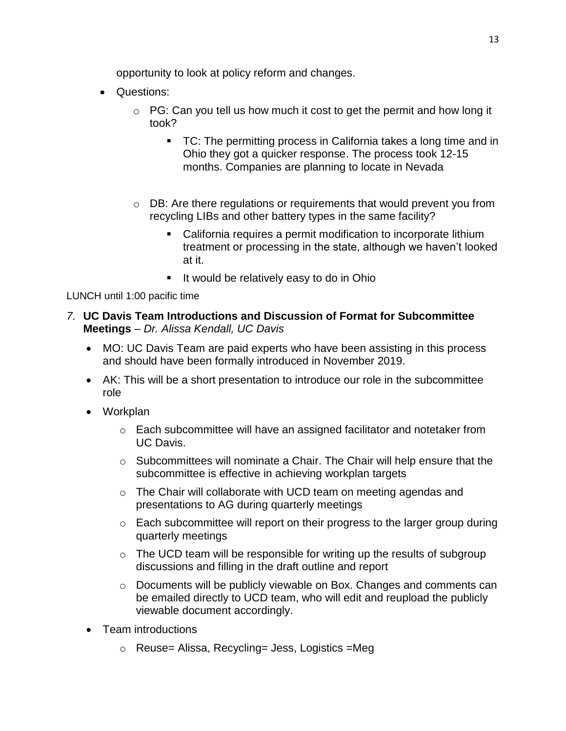opportunity to look at policy reform and changes.

- Questions:
	- $\circ$  PG: Can you tell us how much it cost to get the permit and how long it took?
		- TC: The permitting process in California takes a long time and in Ohio they got a quicker response. The process took 12-15 months. Companies are planning to locate in Nevada
	- o DB: Are there regulations or requirements that would prevent you from recycling LIBs and other battery types in the same facility?
		- California requires a permit modification to incorporate lithium treatment or processing in the state, although we haven't looked at it.
		- **If would be relatively easy to do in Ohio**

LUNCH until 1:00 pacific time

- *7.* **UC Davis Team Introductions and Discussion of Format for Subcommittee Meetings** – *Dr. Alissa Kendall, UC Davis*
	- MO: UC Davis Team are paid experts who have been assisting in this process and should have been formally introduced in November 2019.
	- AK: This will be a short presentation to introduce our role in the subcommittee role
	- Workplan
		- o Each subcommittee will have an assigned facilitator and notetaker from UC Davis.
		- o Subcommittees will nominate a Chair. The Chair will help ensure that the subcommittee is effective in achieving workplan targets
		- o The Chair will collaborate with UCD team on meeting agendas and presentations to AG during quarterly meetings
		- $\circ$  Each subcommittee will report on their progress to the larger group during quarterly meetings
		- $\circ$  The UCD team will be responsible for writing up the results of subgroup discussions and filling in the draft outline and report
		- o Documents will be publicly viewable on Box. Changes and comments can be emailed directly to UCD team, who will edit and reupload the publicly viewable document accordingly.
	- Team introductions
		- o Reuse= Alissa, Recycling= Jess, Logistics =Meg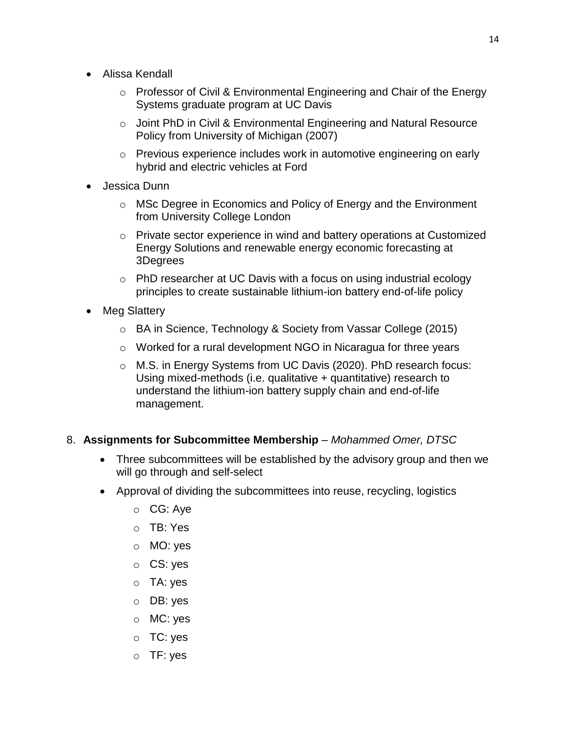- Alissa Kendall
	- o Professor of Civil & Environmental Engineering and Chair of the Energy Systems graduate program at UC Davis
	- o Joint PhD in Civil & Environmental Engineering and Natural Resource Policy from University of Michigan (2007)
	- o Previous experience includes work in automotive engineering on early hybrid and electric vehicles at Ford
- Jessica Dunn
	- o MSc Degree in Economics and Policy of Energy and the Environment from University College London
	- o Private sector experience in wind and battery operations at Customized Energy Solutions and renewable energy economic forecasting at 3Degrees
	- o PhD researcher at UC Davis with a focus on using industrial ecology principles to create sustainable lithium-ion battery end-of-life policy
- Meg Slattery
	- o BA in Science, Technology & Society from Vassar College (2015)
	- o Worked for a rural development NGO in Nicaragua for three years
	- o M.S. in Energy Systems from UC Davis (2020). PhD research focus: Using mixed-methods (i.e. qualitative + quantitative) research to understand the lithium-ion battery supply chain and end-of-life management.
- 8. **Assignments for Subcommittee Membership**  *Mohammed Omer, DTSC*
	- Three subcommittees will be established by the advisory group and then we will go through and self-select
	- Approval of dividing the subcommittees into reuse, recycling, logistics
		- o CG: Aye
		- o TB: Yes
		- o MO: yes
		- o CS: yes
		- o TA: yes
		- o DB: yes
		- o MC: yes
		- o TC: yes
		- o TF: yes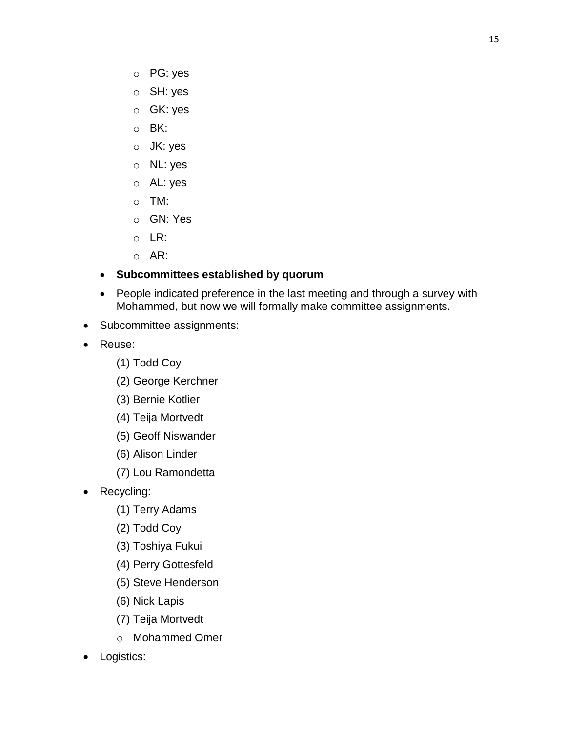- o PG: yes
- o SH: yes
- o GK: yes
- o BK:
- o JK: yes
- o NL: yes
- o AL: yes
- o TM:
- o GN: Yes
- o LR:
- o AR:
- **Subcommittees established by quorum**
- People indicated preference in the last meeting and through a survey with Mohammed, but now we will formally make committee assignments.
- Subcommittee assignments:
- Reuse:
	- (1) Todd Coy
	- (2) George Kerchner
	- (3) Bernie Kotlier
	- (4) Teija Mortvedt
	- (5) Geoff Niswander
	- (6) Alison Linder
	- (7) Lou Ramondetta
- Recycling:
	- (1) Terry Adams
	- (2) Todd Coy
	- (3) Toshiya Fukui
	- (4) Perry Gottesfeld
	- (5) Steve Henderson
	- (6) Nick Lapis
	- (7) Teija Mortvedt
	- o Mohammed Omer
- Logistics: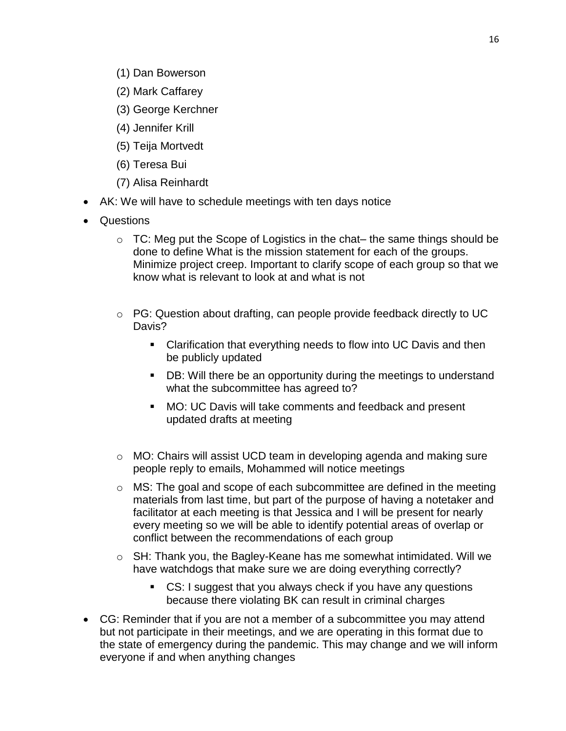- (1) Dan Bowerson
- (2) Mark Caffarey
- (3) George Kerchner
- (4) Jennifer Krill
- (5) Teija Mortvedt
- (6) Teresa Bui
- (7) Alisa Reinhardt
- AK: We will have to schedule meetings with ten days notice
- Questions
	- $\circ$  TC: Meg put the Scope of Logistics in the chat– the same things should be done to define What is the mission statement for each of the groups. Minimize project creep. Important to clarify scope of each group so that we know what is relevant to look at and what is not
	- o PG: Question about drafting, can people provide feedback directly to UC Davis?
		- Clarification that everything needs to flow into UC Davis and then be publicly updated
		- DB: Will there be an opportunity during the meetings to understand what the subcommittee has agreed to?
		- MO: UC Davis will take comments and feedback and present updated drafts at meeting
	- o MO: Chairs will assist UCD team in developing agenda and making sure people reply to emails, Mohammed will notice meetings
	- o MS: The goal and scope of each subcommittee are defined in the meeting materials from last time, but part of the purpose of having a notetaker and facilitator at each meeting is that Jessica and I will be present for nearly every meeting so we will be able to identify potential areas of overlap or conflict between the recommendations of each group
	- o SH: Thank you, the Bagley-Keane has me somewhat intimidated. Will we have watchdogs that make sure we are doing everything correctly?
		- CS: I suggest that you always check if you have any questions because there violating BK can result in criminal charges
- CG: Reminder that if you are not a member of a subcommittee you may attend but not participate in their meetings, and we are operating in this format due to the state of emergency during the pandemic. This may change and we will inform everyone if and when anything changes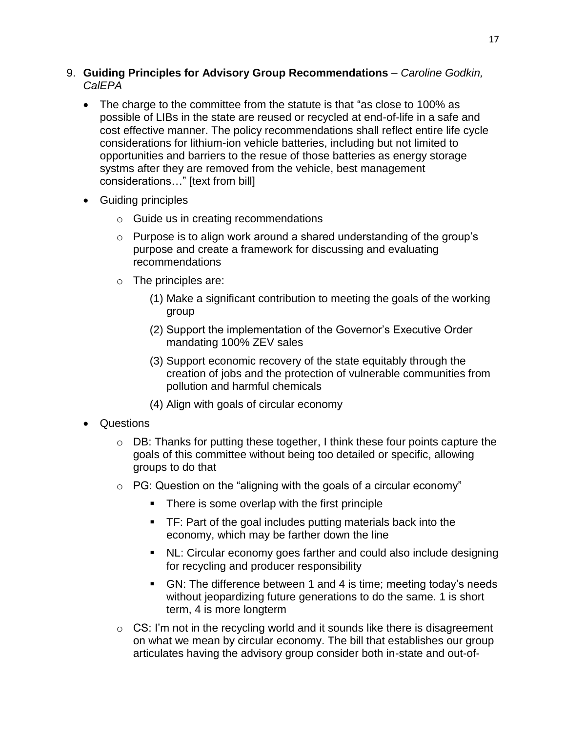- 9. **Guiding Principles for Advisory Group Recommendations**  *Caroline Godkin, CalEPA*
	- The charge to the committee from the statute is that "as close to 100% as possible of LIBs in the state are reused or recycled at end-of-life in a safe and cost effective manner. The policy recommendations shall reflect entire life cycle considerations for lithium-ion vehicle batteries, including but not limited to opportunities and barriers to the resue of those batteries as energy storage systms after they are removed from the vehicle, best management considerations…" [text from bill]
	- Guiding principles
		- o Guide us in creating recommendations
		- o Purpose is to align work around a shared understanding of the group's purpose and create a framework for discussing and evaluating recommendations
		- o The principles are:
			- (1) Make a significant contribution to meeting the goals of the working group
			- (2) Support the implementation of the Governor's Executive Order mandating 100% ZEV sales
			- (3) Support economic recovery of the state equitably through the creation of jobs and the protection of vulnerable communities from pollution and harmful chemicals
			- (4) Align with goals of circular economy
	- Questions
		- o DB: Thanks for putting these together, I think these four points capture the goals of this committee without being too detailed or specific, allowing groups to do that
		- $\circ$  PG: Question on the "aligning with the goals of a circular economy"
			- **There is some overlap with the first principle**
			- TF: Part of the goal includes putting materials back into the economy, which may be farther down the line
			- NL: Circular economy goes farther and could also include designing for recycling and producer responsibility
			- GN: The difference between 1 and 4 is time; meeting today's needs without jeopardizing future generations to do the same. 1 is short term, 4 is more longterm
		- $\circ$  CS: I'm not in the recycling world and it sounds like there is disagreement on what we mean by circular economy. The bill that establishes our group articulates having the advisory group consider both in-state and out-of-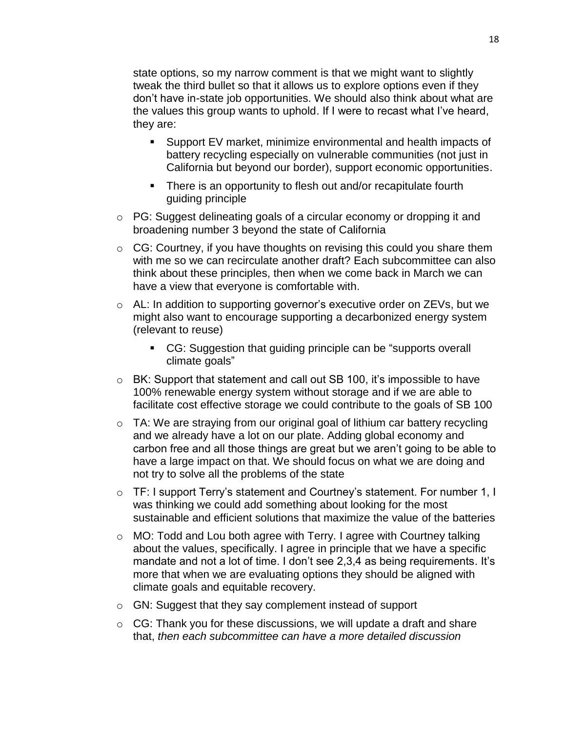state options, so my narrow comment is that we might want to slightly tweak the third bullet so that it allows us to explore options even if they don't have in-state job opportunities. We should also think about what are the values this group wants to uphold. If I were to recast what I've heard, they are:

- Support EV market, minimize environmental and health impacts of battery recycling especially on vulnerable communities (not just in California but beyond our border), support economic opportunities.
- **There is an opportunity to flesh out and/or recapitulate fourth** guiding principle
- o PG: Suggest delineating goals of a circular economy or dropping it and broadening number 3 beyond the state of California
- CG: Courtney, if you have thoughts on revising this could you share them with me so we can recirculate another draft? Each subcommittee can also think about these principles, then when we come back in March we can have a view that everyone is comfortable with.
- o AL: In addition to supporting governor's executive order on ZEVs, but we might also want to encourage supporting a decarbonized energy system (relevant to reuse)
	- CG: Suggestion that guiding principle can be "supports overall climate goals"
- o BK: Support that statement and call out SB 100, it's impossible to have 100% renewable energy system without storage and if we are able to facilitate cost effective storage we could contribute to the goals of SB 100
- o TA: We are straying from our original goal of lithium car battery recycling and we already have a lot on our plate. Adding global economy and carbon free and all those things are great but we aren't going to be able to have a large impact on that. We should focus on what we are doing and not try to solve all the problems of the state
- o TF: I support Terry's statement and Courtney's statement. For number 1, I was thinking we could add something about looking for the most sustainable and efficient solutions that maximize the value of the batteries
- o MO: Todd and Lou both agree with Terry. I agree with Courtney talking about the values, specifically. I agree in principle that we have a specific mandate and not a lot of time. I don't see 2,3,4 as being requirements. It's more that when we are evaluating options they should be aligned with climate goals and equitable recovery.
- o GN: Suggest that they say complement instead of support
- $\circ$  CG: Thank you for these discussions, we will update a draft and share that, *then each subcommittee can have a more detailed discussion*